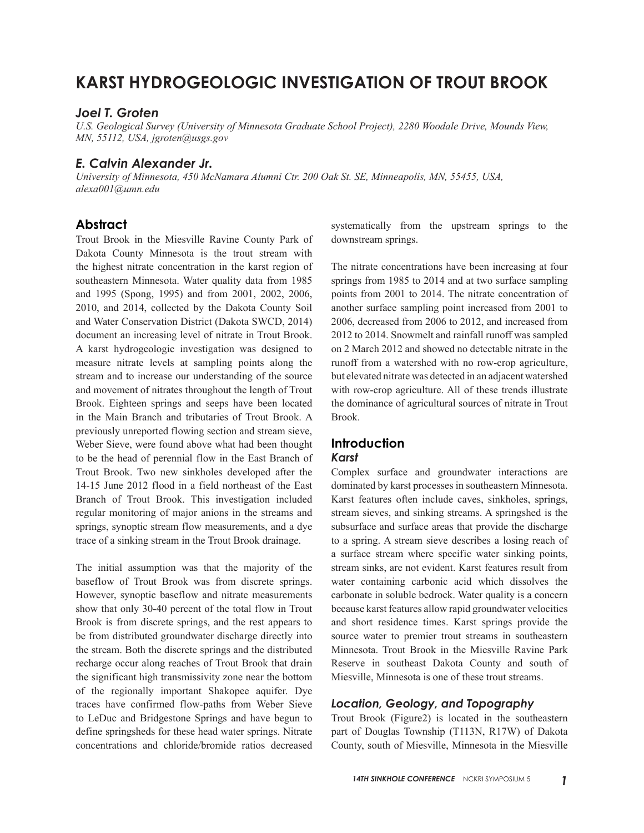# **KARST HYDROGEOLOGIC INVESTIGATION OF TROUT BROOK**

#### *Joel T. Groten*

*U.S. Geological Survey (University of Minnesota Graduate School Project), 2280 Woodale Drive, Mounds View, MN, 55112, USA, jgroten@usgs.gov*

# *E. Calvin Alexander Jr.*

*University of Minnesota, 450 McNamara Alumni Ctr. 200 Oak St. SE, Minneapolis, MN, 55455, USA, alexa001@umn.edu*

# **Abstract**

Trout Brook in the Miesville Ravine County Park of Dakota County Minnesota is the trout stream with the highest nitrate concentration in the karst region of southeastern Minnesota. Water quality data from 1985 and 1995 (Spong, 1995) and from 2001, 2002, 2006, 2010, and 2014, collected by the Dakota County Soil and Water Conservation District (Dakota SWCD, 2014) document an increasing level of nitrate in Trout Brook. A karst hydrogeologic investigation was designed to measure nitrate levels at sampling points along the stream and to increase our understanding of the source and movement of nitrates throughout the length of Trout Brook. Eighteen springs and seeps have been located in the Main Branch and tributaries of Trout Brook. A previously unreported flowing section and stream sieve, Weber Sieve, were found above what had been thought to be the head of perennial flow in the East Branch of Trout Brook. Two new sinkholes developed after the 14-15 June 2012 flood in a field northeast of the East Branch of Trout Brook. This investigation included regular monitoring of major anions in the streams and springs, synoptic stream flow measurements, and a dye trace of a sinking stream in the Trout Brook drainage.

The initial assumption was that the majority of the baseflow of Trout Brook was from discrete springs. However, synoptic baseflow and nitrate measurements show that only 30-40 percent of the total flow in Trout Brook is from discrete springs, and the rest appears to be from distributed groundwater discharge directly into the stream. Both the discrete springs and the distributed recharge occur along reaches of Trout Brook that drain the significant high transmissivity zone near the bottom of the regionally important Shakopee aquifer. Dye traces have confirmed flow-paths from Weber Sieve to LeDuc and Bridgestone Springs and have begun to define springsheds for these head water springs. Nitrate concentrations and chloride/bromide ratios decreased

systematically from the upstream springs to the downstream springs.

The nitrate concentrations have been increasing at four springs from 1985 to 2014 and at two surface sampling points from 2001 to 2014. The nitrate concentration of another surface sampling point increased from 2001 to 2006, decreased from 2006 to 2012, and increased from 2012 to 2014. Snowmelt and rainfall runoff was sampled on 2 March 2012 and showed no detectable nitrate in the runoff from a watershed with no row-crop agriculture, but elevated nitrate was detected in an adjacent watershed with row-crop agriculture. All of these trends illustrate the dominance of agricultural sources of nitrate in Trout Brook.

#### **Introduction** *Karst*

Complex surface and groundwater interactions are dominated by karst processes in southeastern Minnesota. Karst features often include caves, sinkholes, springs, stream sieves, and sinking streams. A springshed is the subsurface and surface areas that provide the discharge to a spring. A stream sieve describes a losing reach of a surface stream where specific water sinking points, stream sinks, are not evident. Karst features result from water containing carbonic acid which dissolves the carbonate in soluble bedrock. Water quality is a concern because karst features allow rapid groundwater velocities and short residence times. Karst springs provide the source water to premier trout streams in southeastern Minnesota. Trout Brook in the Miesville Ravine Park Reserve in southeast Dakota County and south of Miesville, Minnesota is one of these trout streams.

## *Location, Geology, and Topography*

Trout Brook (Figure2) is located in the southeastern part of Douglas Township (T113N, R17W) of Dakota County, south of Miesville, Minnesota in the Miesville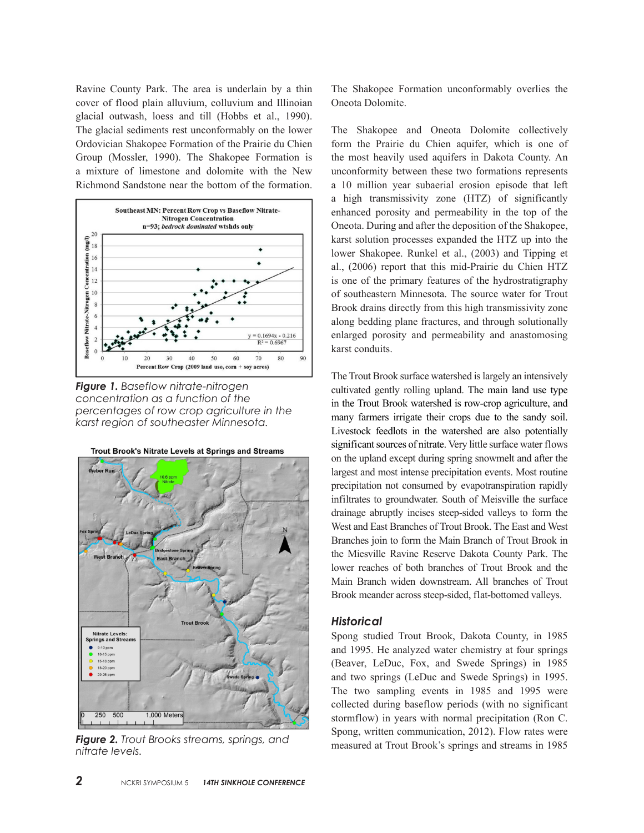Ravine County Park. The area is underlain by a thin cover of flood plain alluvium, colluvium and Illinoian glacial outwash, loess and till (Hobbs et al., 1990). The glacial sediments rest unconformably on the lower Ordovician Shakopee Formation of the Prairie du Chien Group (Mossler, 1990). The Shakopee Formation is a mixture of limestone and dolomite with the New Richmond Sandstone near the bottom of the formation.



*Figure 1. Baseflow nitrate-nitrogen concentration as a function of the percentages of row crop agriculture in the karst region of southeaster Minnesota.*



Trout Brook's Nitrate Levels at Springs and Streams

*Figure 2. Trout Brooks streams, springs, and nitrate levels.*

The Shakopee Formation unconformably overlies the Oneota Dolomite.

The Shakopee and Oneota Dolomite collectively form the Prairie du Chien aquifer, which is one of the most heavily used aquifers in Dakota County. An unconformity between these two formations represents a 10 million year subaerial erosion episode that left a high transmissivity zone (HTZ) of significantly enhanced porosity and permeability in the top of the Oneota. During and after the deposition of the Shakopee, karst solution processes expanded the HTZ up into the lower Shakopee. Runkel et al., (2003) and Tipping et al., (2006) report that this mid-Prairie du Chien HTZ is one of the primary features of the hydrostratigraphy of southeastern Minnesota. The source water for Trout Brook drains directly from this high transmissivity zone along bedding plane fractures, and through solutionally enlarged porosity and permeability and anastomosing karst conduits.

The Trout Brook surface watershed is largely an intensively cultivated gently rolling upland. The main land use type in the Trout Brook watershed is row-crop agriculture, and many farmers irrigate their crops due to the sandy soil. Livestock feedlots in the watershed are also potentially significant sources of nitrate. Very little surface water flows on the upland except during spring snowmelt and after the largest and most intense precipitation events. Most routine precipitation not consumed by evapotranspiration rapidly infiltrates to groundwater. South of Meisville the surface drainage abruptly incises steep-sided valleys to form the West and East Branches of Trout Brook. The East and West Branches join to form the Main Branch of Trout Brook in the Miesville Ravine Reserve Dakota County Park. The lower reaches of both branches of Trout Brook and the Main Branch widen downstream. All branches of Trout Brook meander across steep-sided, flat-bottomed valleys.

#### *Historical*

Spong studied Trout Brook, Dakota County, in 1985 and 1995. He analyzed water chemistry at four springs (Beaver, LeDuc, Fox, and Swede Springs) in 1985 and two springs (LeDuc and Swede Springs) in 1995. The two sampling events in 1985 and 1995 were collected during baseflow periods (with no significant stormflow) in years with normal precipitation (Ron C. Spong, written communication, 2012). Flow rates were measured at Trout Brook's springs and streams in 1985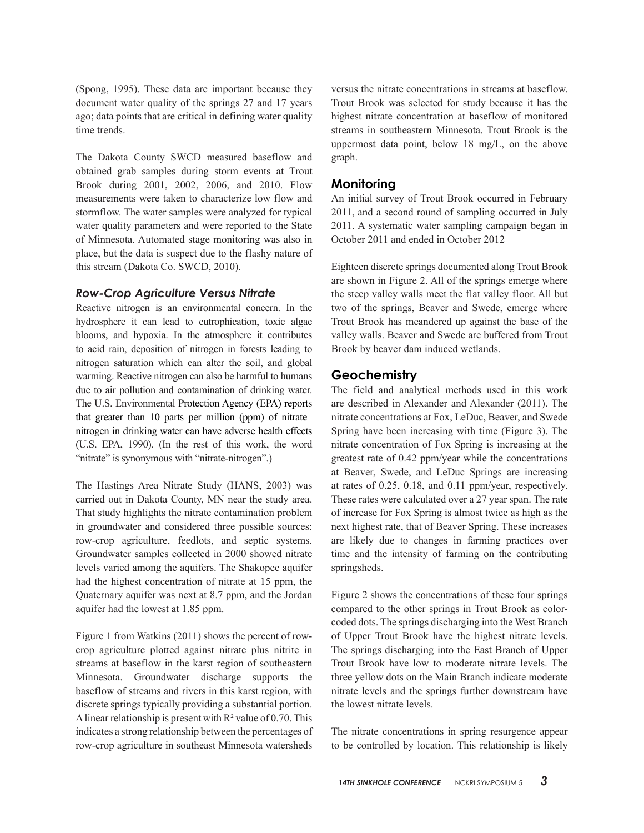(Spong, 1995). These data are important because they document water quality of the springs 27 and 17 years ago; data points that are critical in defining water quality time trends.

The Dakota County SWCD measured baseflow and obtained grab samples during storm events at Trout Brook during 2001, 2002, 2006, and 2010. Flow measurements were taken to characterize low flow and stormflow. The water samples were analyzed for typical water quality parameters and were reported to the State of Minnesota. Automated stage monitoring was also in place, but the data is suspect due to the flashy nature of this stream (Dakota Co. SWCD, 2010).

#### *Row-Crop Agriculture Versus Nitrate*

Reactive nitrogen is an environmental concern. In the hydrosphere it can lead to eutrophication, toxic algae blooms, and hypoxia. In the atmosphere it contributes to acid rain, deposition of nitrogen in forests leading to nitrogen saturation which can alter the soil, and global warming. Reactive nitrogen can also be harmful to humans due to air pollution and contamination of drinking water. The U.S. Environmental Protection Agency (EPA) reports that greater than 10 parts per million (ppm) of nitrate– nitrogen in drinking water can have adverse health effects (U.S. EPA, 1990). (In the rest of this work, the word "nitrate" is synonymous with "nitrate-nitrogen".)

The Hastings Area Nitrate Study (HANS, 2003) was carried out in Dakota County, MN near the study area. That study highlights the nitrate contamination problem in groundwater and considered three possible sources: row-crop agriculture, feedlots, and septic systems. Groundwater samples collected in 2000 showed nitrate levels varied among the aquifers. The Shakopee aquifer had the highest concentration of nitrate at 15 ppm, the Quaternary aquifer was next at 8.7 ppm, and the Jordan aquifer had the lowest at 1.85 ppm.

Figure 1 from Watkins (2011) shows the percent of rowcrop agriculture plotted against nitrate plus nitrite in streams at baseflow in the karst region of southeastern Minnesota. Groundwater discharge supports the baseflow of streams and rivers in this karst region, with discrete springs typically providing a substantial portion. A linear relationship is present with  $R^2$  value of 0.70. This indicates a strong relationship between the percentages of row-crop agriculture in southeast Minnesota watersheds

versus the nitrate concentrations in streams at baseflow. Trout Brook was selected for study because it has the highest nitrate concentration at baseflow of monitored streams in southeastern Minnesota. Trout Brook is the uppermost data point, below 18 mg/L, on the above graph.

## **Monitoring**

An initial survey of Trout Brook occurred in February 2011, and a second round of sampling occurred in July 2011. A systematic water sampling campaign began in October 2011 and ended in October 2012

Eighteen discrete springs documented along Trout Brook are shown in Figure 2. All of the springs emerge where the steep valley walls meet the flat valley floor. All but two of the springs, Beaver and Swede, emerge where Trout Brook has meandered up against the base of the valley walls. Beaver and Swede are buffered from Trout Brook by beaver dam induced wetlands.

# **Geochemistry**

The field and analytical methods used in this work are described in Alexander and Alexander (2011). The nitrate concentrations at Fox, LeDuc, Beaver, and Swede Spring have been increasing with time (Figure 3). The nitrate concentration of Fox Spring is increasing at the greatest rate of 0.42 ppm/year while the concentrations at Beaver, Swede, and LeDuc Springs are increasing at rates of 0.25, 0.18, and 0.11 ppm/year, respectively. These rates were calculated over a 27 year span. The rate of increase for Fox Spring is almost twice as high as the next highest rate, that of Beaver Spring. These increases are likely due to changes in farming practices over time and the intensity of farming on the contributing springsheds.

Figure 2 shows the concentrations of these four springs compared to the other springs in Trout Brook as colorcoded dots. The springs discharging into the West Branch of Upper Trout Brook have the highest nitrate levels. The springs discharging into the East Branch of Upper Trout Brook have low to moderate nitrate levels. The three yellow dots on the Main Branch indicate moderate nitrate levels and the springs further downstream have the lowest nitrate levels.

The nitrate concentrations in spring resurgence appear to be controlled by location. This relationship is likely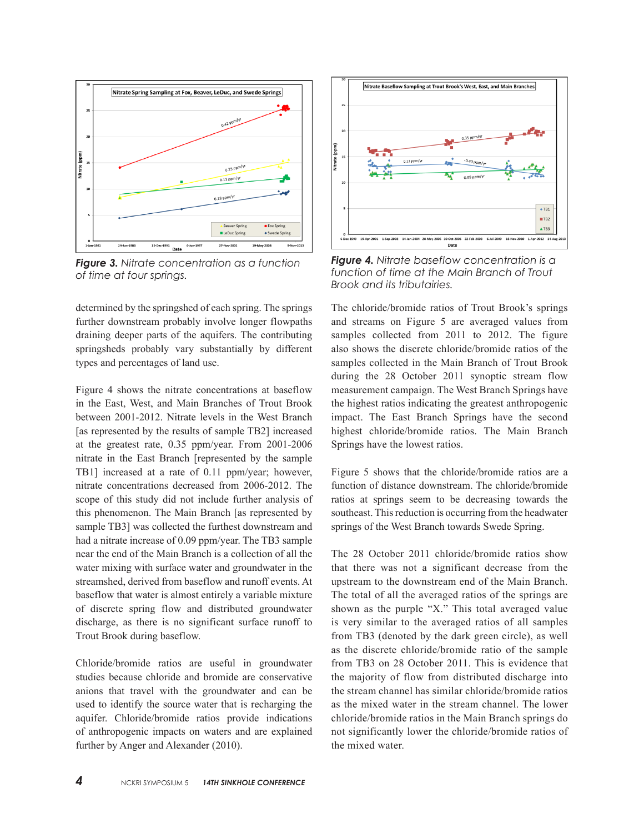

*Figure 3. Nitrate concentration as a function of time at four springs.*

determined by the springshed of each spring. The springs further downstream probably involve longer flowpaths draining deeper parts of the aquifers. The contributing springsheds probably vary substantially by different types and percentages of land use.

Figure 4 shows the nitrate concentrations at baseflow in the East, West, and Main Branches of Trout Brook between 2001-2012. Nitrate levels in the West Branch [as represented by the results of sample TB2] increased at the greatest rate, 0.35 ppm/year. From 2001-2006 nitrate in the East Branch [represented by the sample TB1] increased at a rate of 0.11 ppm/year; however, nitrate concentrations decreased from 2006-2012. The scope of this study did not include further analysis of this phenomenon. The Main Branch [as represented by sample TB3] was collected the furthest downstream and had a nitrate increase of 0.09 ppm/year. The TB3 sample near the end of the Main Branch is a collection of all the water mixing with surface water and groundwater in the streamshed, derived from baseflow and runoff events. At baseflow that water is almost entirely a variable mixture of discrete spring flow and distributed groundwater discharge, as there is no significant surface runoff to Trout Brook during baseflow.

Chloride/bromide ratios are useful in groundwater studies because chloride and bromide are conservative anions that travel with the groundwater and can be used to identify the source water that is recharging the aquifer. Chloride/bromide ratios provide indications of anthropogenic impacts on waters and are explained further by Anger and Alexander (2010).



*Figure 4. Nitrate baseflow concentration is a function of time at the Main Branch of Trout Brook and its tributairies.*

The chloride/bromide ratios of Trout Brook's springs and streams on Figure 5 are averaged values from samples collected from 2011 to 2012. The figure also shows the discrete chloride/bromide ratios of the samples collected in the Main Branch of Trout Brook during the 28 October 2011 synoptic stream flow measurement campaign. The West Branch Springs have the highest ratios indicating the greatest anthropogenic impact. The East Branch Springs have the second highest chloride/bromide ratios. The Main Branch Springs have the lowest ratios.

Figure 5 shows that the chloride/bromide ratios are a function of distance downstream. The chloride/bromide ratios at springs seem to be decreasing towards the southeast. This reduction is occurring from the headwater springs of the West Branch towards Swede Spring.

The 28 October 2011 chloride/bromide ratios show that there was not a significant decrease from the upstream to the downstream end of the Main Branch. The total of all the averaged ratios of the springs are shown as the purple "X." This total averaged value is very similar to the averaged ratios of all samples from TB3 (denoted by the dark green circle), as well as the discrete chloride/bromide ratio of the sample from TB3 on 28 October 2011. This is evidence that the majority of flow from distributed discharge into the stream channel has similar chloride/bromide ratios as the mixed water in the stream channel. The lower chloride/bromide ratios in the Main Branch springs do not significantly lower the chloride/bromide ratios of the mixed water.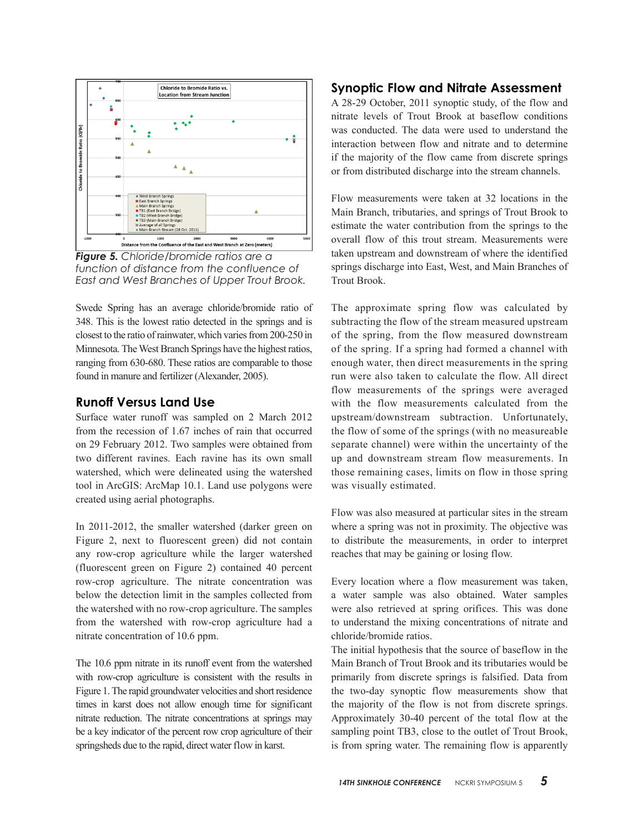

*Figure 5. Chloride/bromide ratios are a function of distance from the confluence of East and West Branches of Upper Trout Brook.*

Swede Spring has an average chloride/bromide ratio of 348. This is the lowest ratio detected in the springs and is closest to the ratio of rainwater, which varies from 200-250 in Minnesota. The West Branch Springs have the highest ratios, ranging from 630-680. These ratios are comparable to those found in manure and fertilizer (Alexander, 2005).

# **Runoff Versus Land Use**

Surface water runoff was sampled on 2 March 2012 from the recession of 1.67 inches of rain that occurred on 29 February 2012. Two samples were obtained from two different ravines. Each ravine has its own small watershed, which were delineated using the watershed tool in ArcGIS: ArcMap 10.1. Land use polygons were created using aerial photographs.

In 2011-2012, the smaller watershed (darker green on Figure 2, next to fluorescent green) did not contain any row-crop agriculture while the larger watershed (fluorescent green on Figure 2) contained 40 percent row-crop agriculture. The nitrate concentration was below the detection limit in the samples collected from the watershed with no row-crop agriculture. The samples from the watershed with row-crop agriculture had a nitrate concentration of 10.6 ppm.

The 10.6 ppm nitrate in its runoff event from the watershed with row-crop agriculture is consistent with the results in Figure 1. The rapid groundwater velocities and short residence times in karst does not allow enough time for significant nitrate reduction. The nitrate concentrations at springs may be a key indicator of the percent row crop agriculture of their springsheds due to the rapid, direct water flow in karst.

# **Synoptic Flow and Nitrate Assessment**

A 28-29 October, 2011 synoptic study, of the flow and nitrate levels of Trout Brook at baseflow conditions was conducted. The data were used to understand the interaction between flow and nitrate and to determine if the majority of the flow came from discrete springs or from distributed discharge into the stream channels.

Flow measurements were taken at 32 locations in the Main Branch, tributaries, and springs of Trout Brook to estimate the water contribution from the springs to the overall flow of this trout stream. Measurements were taken upstream and downstream of where the identified springs discharge into East, West, and Main Branches of Trout Brook.

The approximate spring flow was calculated by subtracting the flow of the stream measured upstream of the spring, from the flow measured downstream of the spring. If a spring had formed a channel with enough water, then direct measurements in the spring run were also taken to calculate the flow. All direct flow measurements of the springs were averaged with the flow measurements calculated from the upstream/downstream subtraction. Unfortunately, the flow of some of the springs (with no measureable separate channel) were within the uncertainty of the up and downstream stream flow measurements. In those remaining cases, limits on flow in those spring was visually estimated.

Flow was also measured at particular sites in the stream where a spring was not in proximity. The objective was to distribute the measurements, in order to interpret reaches that may be gaining or losing flow.

Every location where a flow measurement was taken, a water sample was also obtained. Water samples were also retrieved at spring orifices. This was done to understand the mixing concentrations of nitrate and chloride/bromide ratios.

The initial hypothesis that the source of baseflow in the Main Branch of Trout Brook and its tributaries would be primarily from discrete springs is falsified. Data from the two-day synoptic flow measurements show that the majority of the flow is not from discrete springs. Approximately 30-40 percent of the total flow at the sampling point TB3, close to the outlet of Trout Brook, is from spring water. The remaining flow is apparently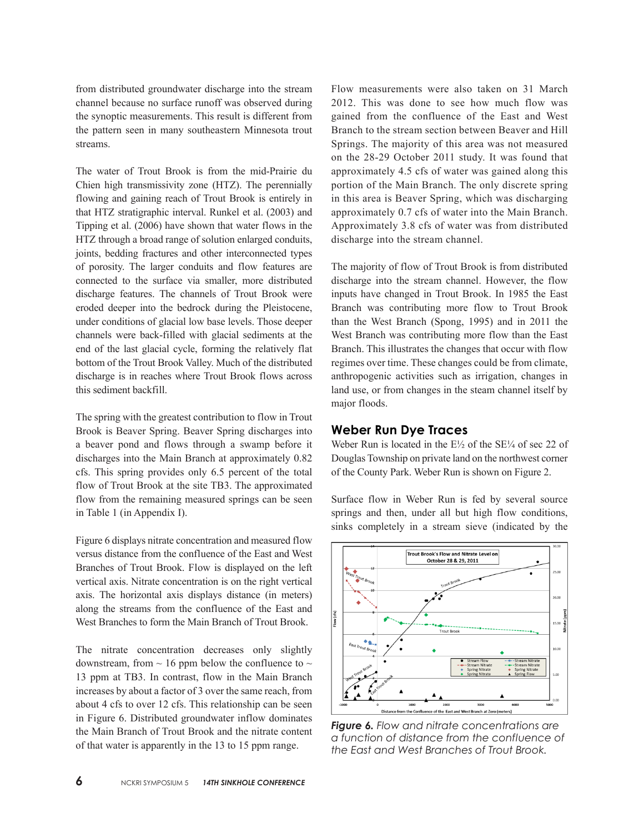from distributed groundwater discharge into the stream channel because no surface runoff was observed during the synoptic measurements. This result is different from the pattern seen in many southeastern Minnesota trout streams.

The water of Trout Brook is from the mid-Prairie du Chien high transmissivity zone (HTZ). The perennially flowing and gaining reach of Trout Brook is entirely in that HTZ stratigraphic interval. Runkel et al. (2003) and Tipping et al. (2006) have shown that water flows in the HTZ through a broad range of solution enlarged conduits, joints, bedding fractures and other interconnected types of porosity. The larger conduits and flow features are connected to the surface via smaller, more distributed discharge features. The channels of Trout Brook were eroded deeper into the bedrock during the Pleistocene, under conditions of glacial low base levels. Those deeper channels were back-filled with glacial sediments at the end of the last glacial cycle, forming the relatively flat bottom of the Trout Brook Valley. Much of the distributed discharge is in reaches where Trout Brook flows across this sediment backfill.

The spring with the greatest contribution to flow in Trout Brook is Beaver Spring. Beaver Spring discharges into a beaver pond and flows through a swamp before it discharges into the Main Branch at approximately 0.82 cfs. This spring provides only 6.5 percent of the total flow of Trout Brook at the site TB3. The approximated flow from the remaining measured springs can be seen in Table 1 (in Appendix I).

Figure 6 displays nitrate concentration and measured flow versus distance from the confluence of the East and West Branches of Trout Brook. Flow is displayed on the left vertical axis. Nitrate concentration is on the right vertical axis. The horizontal axis displays distance (in meters) along the streams from the confluence of the East and West Branches to form the Main Branch of Trout Brook.

The nitrate concentration decreases only slightly downstream, from  $\sim$  16 ppm below the confluence to  $\sim$ 13 ppm at TB3. In contrast, flow in the Main Branch increases by about a factor of 3 over the same reach, from about 4 cfs to over 12 cfs. This relationship can be seen in Figure 6. Distributed groundwater inflow dominates the Main Branch of Trout Brook and the nitrate content of that water is apparently in the 13 to 15 ppm range.

Flow measurements were also taken on 31 March 2012. This was done to see how much flow was gained from the confluence of the East and West Branch to the stream section between Beaver and Hill Springs. The majority of this area was not measured on the 28-29 October 2011 study. It was found that approximately 4.5 cfs of water was gained along this portion of the Main Branch. The only discrete spring in this area is Beaver Spring, which was discharging approximately 0.7 cfs of water into the Main Branch. Approximately 3.8 cfs of water was from distributed discharge into the stream channel.

The majority of flow of Trout Brook is from distributed discharge into the stream channel. However, the flow inputs have changed in Trout Brook. In 1985 the East Branch was contributing more flow to Trout Brook than the West Branch (Spong, 1995) and in 2011 the West Branch was contributing more flow than the East Branch. This illustrates the changes that occur with flow regimes over time. These changes could be from climate, anthropogenic activities such as irrigation, changes in land use, or from changes in the steam channel itself by major floods.

## **Weber Run Dye Traces**

Weber Run is located in the  $E\frac{1}{2}$  of the SE $\frac{1}{4}$  of sec 22 of Douglas Township on private land on the northwest corner of the County Park. Weber Run is shown on Figure 2.

Surface flow in Weber Run is fed by several source springs and then, under all but high flow conditions, sinks completely in a stream sieve (indicated by the



*Figure 6. Flow and nitrate concentrations are a function of distance from the confluence of the East and West Branches of Trout Brook.*